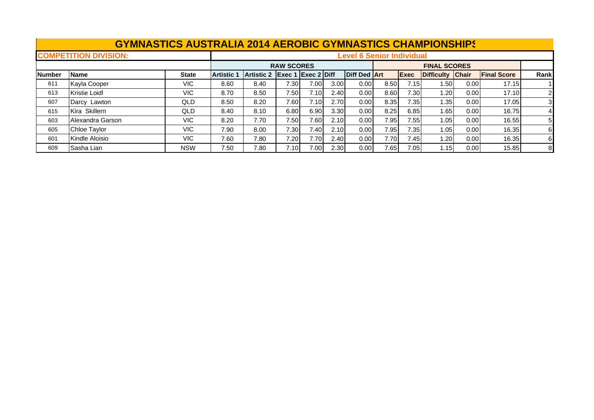|               |                              | <b>GYMNASTICS AUSTRALIA 2014 AEROBIC GYMNASTICS CHAMPIONSHIPS</b> |                   |                   |                           |      |                   |                     |      |              |                     |       |                    |                |
|---------------|------------------------------|-------------------------------------------------------------------|-------------------|-------------------|---------------------------|------|-------------------|---------------------|------|--------------|---------------------|-------|--------------------|----------------|
|               | <b>COMPETITION DIVISION:</b> | <b>Level 6 Senior Individual</b>                                  |                   |                   |                           |      |                   |                     |      |              |                     |       |                    |                |
|               |                              |                                                                   |                   |                   | <b>RAW SCORES</b>         |      |                   |                     |      |              | <b>FINAL SCORES</b> |       |                    |                |
| <b>Number</b> | <b>Name</b>                  | <b>State</b>                                                      | <b>Artistic 1</b> | <b>Artistic 2</b> | <b>Exec 1 Exec 2 Diff</b> |      |                   | <b>Diff Ded Art</b> |      | <b>IExec</b> | Difficulty Chair    |       | <b>Final Score</b> | Rank           |
| 611           | Kayla Cooper                 | VIC.                                                              | 8.60              | 8.40              | $^{\prime}.30$            | 7.00 | 3.00 <sub>l</sub> | 0.001               | 8.50 | 7.15I        | 1.50                | 0.001 | 17.15              |                |
| 613           | Kristie Loidl                | VIC.                                                              | 8.70              | 8.50              | 7.50                      | 7.10 | 2.40              | 0.00                | 8.60 | 7.30I        | 1.201               | 0.00  | 17.10              |                |
| 607           | Darcy Lawton                 | QLD                                                               | 8.50              | 8.20              | 7.60                      | 7.10 | 2.70              | 0.00                | 8.35 | 7.35         | 1.35 l              | 0.00  | 17.05              | 3              |
| 615           | Kira Skillern                | QLD.                                                              | 8.40              | 8.10              | 6.80                      | 6.90 | 3.30              | 0.00                | 8.25 | 6.85         | 1.65                | 0.00  | 16.75              | $\overline{4}$ |
| 603           | Alexandra Garson             | VIC.                                                              | 8.20              | 7.70              | 7.50                      | 7.60 | 2.10              | 0.00                | 7.95 | 7.55         | 1.05                | 0.00  | 16.55              | 5              |
| 605           | Chloe Taylor                 | VIC.                                                              | 7.90              | 8.00              | 7.30                      | 7.40 | 2.10              | 0.00                | 7.95 | 7.35         | 1.05                | 0.00  | 16.35              | 61             |
| 601           | Kindle Aloisio               | VIC.                                                              | 7.60              | 7.80              | 7.20                      | 7.70 | 2.40              | 0.00                | 7.70 | 7.45         | 1.201               | 0.00  | 16.35              | 61             |
| 609           | Sasha Lian                   | <b>NSW</b>                                                        | 7.50              | 7.80              | 7.10I                     | 7.00 | 2.30              | 0.00                | 7.65 | 7.05         | 1.15I               | 0.00  | 15.85              | 8              |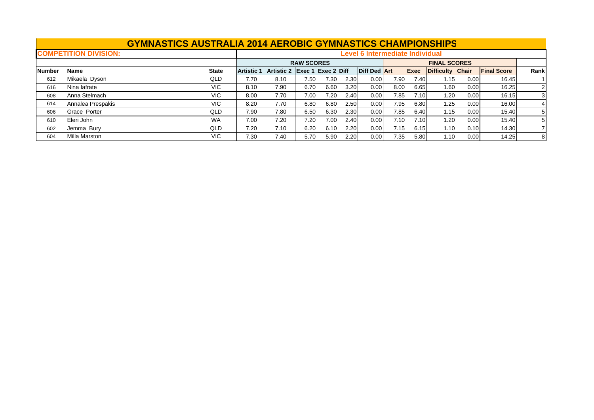|               | <b>GYMNASTICS AUSTRALIA 2014 AEROBIC GYMNASTICS CHAMPIONSHIPS</b> |              |                   |                                        |                                      |      |                   |                     |      |                     |                         |      |                    |                |  |  |
|---------------|-------------------------------------------------------------------|--------------|-------------------|----------------------------------------|--------------------------------------|------|-------------------|---------------------|------|---------------------|-------------------------|------|--------------------|----------------|--|--|
|               | <b>COMPETITION DIVISION:</b>                                      |              |                   | <b>Level 6 Intermediate Individual</b> |                                      |      |                   |                     |      |                     |                         |      |                    |                |  |  |
|               |                                                                   |              |                   | <b>RAW SCORES</b>                      |                                      |      |                   |                     |      | <b>FINAL SCORES</b> |                         |      |                    |                |  |  |
| <b>Number</b> | <b>Name</b>                                                       | <b>State</b> | <b>Artistic 1</b> | Artistic 2                             | $\left $ Exec 1 $\left $ Exec 2 Diff |      |                   | <b>Diff Ded Art</b> |      | <b>Exec</b>         | <b>Difficulty Chair</b> |      | <b>Final Score</b> | Rankl          |  |  |
| 612           | Mikaela Dyson                                                     | QLD          | 7.70              | 8.10                                   | 7.50                                 | 7.30 | 2.30              | 0.00                | 7.90 | 7.40                | 1.15                    | 0.00 | 16.45              |                |  |  |
| 616           | Nina lafrate                                                      | <b>VIC</b>   | 8.10              | 7.90                                   | 6.70                                 | 6.60 | 3.20              | 0.00                | 8.00 | 6.65                | 1.60                    | 0.00 | 16.25              |                |  |  |
| 608           | Anna Stelmach                                                     | <b>VIC</b>   | 8.00              | 7.70                                   | 7.00                                 | 7.20 | 2.40              | 0.00                | 7.85 | 7.10                | 1.20                    | 0.00 | 16.15              | 3 <sup>l</sup> |  |  |
| 614           | Annalea Prespakis                                                 | <b>VIC</b>   | 8.20              | 7.70                                   | 6.80                                 | 6.80 | 2.50              | 0.00                | 7.95 | 6.80                | 1.25                    | 0.00 | 16.00              |                |  |  |
| 606           | Grace Porter                                                      | QLD          | 7.90              | 7.80                                   | 6.50                                 | 6.30 | 2.30 <sub>1</sub> | 0.00                | 7.85 | 6.40                | 1.15                    | 0.00 | 15.40              | 51             |  |  |
| 610           | Eleri John                                                        | <b>WA</b>    | 7.00              | 7.20                                   | 7.20                                 | 7.00 | 2.40              | 0.00                | 7.10 | 7.10                | 1.20                    | 0.00 | 15.40              |                |  |  |
| 602           | Jemma Bury                                                        | <b>QLD</b>   | 7.20              | 7.10                                   | 6.20                                 | 6.10 | 2.20              | 0.00                | 7.15 | 6.15                | 1.10                    | 0.10 | 14.30              |                |  |  |
| 604           | <b>Milla Marston</b>                                              | <b>VIC</b>   | 7.30              | 7.40                                   | 5.70                                 | 5.90 | 2.20              | 0.00                | 7.35 | 5.80                | 1.10                    | 0.00 | 14.25              | 81             |  |  |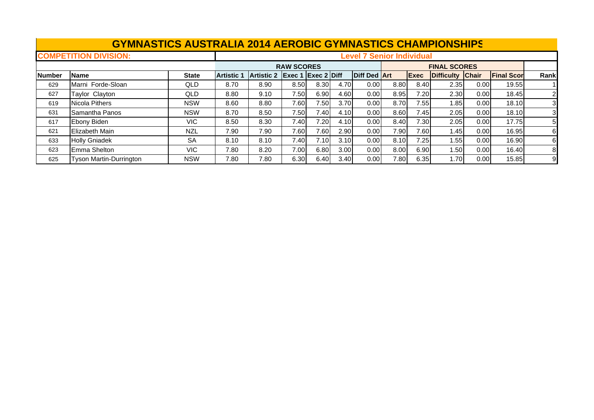|                              | <b>GYMNASTICS AUSTRALIA 2014 AEROBIC GYMNASTICS CHAMPIONSHIPS</b> |              |                   |                                  |                   |                           |      |                     |      |      |                     |      |                   |                |  |  |
|------------------------------|-------------------------------------------------------------------|--------------|-------------------|----------------------------------|-------------------|---------------------------|------|---------------------|------|------|---------------------|------|-------------------|----------------|--|--|
| <b>COMPETITION DIVISION:</b> |                                                                   |              |                   | <b>Level 7 Senior Individual</b> |                   |                           |      |                     |      |      |                     |      |                   |                |  |  |
|                              |                                                                   |              |                   |                                  | <b>RAW SCORES</b> |                           |      |                     |      |      | <b>FINAL SCORES</b> |      |                   |                |  |  |
| <b>Number</b>                | Name                                                              | <b>State</b> | <b>Artistic 1</b> | <b>Artistic 2</b>                |                   | <b>Exec 1 Exec 2 Diff</b> |      | <b>Diff Ded Art</b> |      | Exec | Difficulty Chair    |      | <b>Final Scor</b> | Rank           |  |  |
| 629                          | Marni Forde-Sloan                                                 | <b>QLD</b>   | 8.70              | 8.90                             | 8.50              | 8.30                      | 4.70 | 0.00                | 8.80 | 8.40 | 2.35                | 0.00 | 19.55             |                |  |  |
| 627                          | <b>Taylor Clayton</b>                                             | <b>QLD</b>   | 8.80              | 9.10                             | 7.50              | 6.90                      | 4.60 | 0.00                | 8.95 | 7.20 | 2.30                | 0.00 | 18.45             | $\overline{2}$ |  |  |
| 619                          | <b>Nicola Pithers</b>                                             | <b>NSW</b>   | 8.60              | 8.80                             | 7.60              | 7.50                      | 3.70 | 0.00                | 8.70 | 7.55 | 1.85                | 0.00 | 18.10             | 3              |  |  |
| 631                          | <b>Samantha Panos</b>                                             | <b>NSW</b>   | 8.70              | 8.50                             | 7.50              | 7.40                      | 4.10 | 0.00                | 8.60 | 7.45 | 2.05                | 0.00 | 18.10             |                |  |  |
| 617                          | Ebony Biden                                                       | VIC.         | 8.50              | 8.30                             | 7.40              | 7.20                      | 4.10 | 0.00                | 8.40 | 7.30 | 2.05                | 0.00 | 17.75             | 5              |  |  |
| 621                          | <b>Elizabeth Main</b>                                             | <b>NZL</b>   | 7.90              | 7.90                             | 7.60              | 7.60                      | 2.90 | 0.00                | 7.90 | 7.60 | 1.45                | 0.00 | 16.95             | 61             |  |  |
| 633                          | <b>Holly Gniadek</b>                                              | <b>SA</b>    | 8.10              | 8.10                             | 7.40              | 7.10                      | 3.10 | 0.00                | 8.10 | 7.25 | 1.55                | 0.00 | 16.90             | 6              |  |  |
| 623                          | Emma Shelton                                                      | VIC.         | 7.80              | 8.20                             | 7.00              | 6.80                      | 3.00 | 0.00                | 8.00 | 6.90 | 1.50                | 0.00 | 16.40             | 8              |  |  |
| 625                          | <b>Tyson Martin-Durrington</b>                                    | <b>NSW</b>   | 7.80              | 7.80                             | 6.30              | 6.40                      | 3.40 | 0.00                | 7.80 | 6.35 | 1.70I               | 0.00 | 15.85             | 9              |  |  |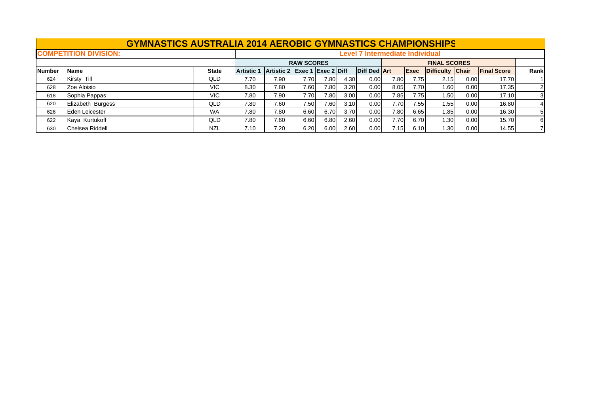|               | <b>GYMNASTICS AUSTRALIA 2014 AEROBIC GYMNASTICS CHAMPIONSHIPS</b> |                                        |                   |                               |      |      |      |                     |      |                     |                  |      |                    |       |
|---------------|-------------------------------------------------------------------|----------------------------------------|-------------------|-------------------------------|------|------|------|---------------------|------|---------------------|------------------|------|--------------------|-------|
|               | <b>COMPETITION DIVISION:</b>                                      | <b>Level 7 Intermediate Individual</b> |                   |                               |      |      |      |                     |      |                     |                  |      |                    |       |
|               |                                                                   |                                        |                   | <b>RAW SCORES</b>             |      |      |      |                     |      | <b>FINAL SCORES</b> |                  |      |                    |       |
| <b>Number</b> | <b>Name</b>                                                       | <b>State</b>                           | <b>Artistic 1</b> | Artistic 2 Exec 1 Exec 2 Diff |      |      |      | <b>Diff Ded Art</b> |      | Exec                | Difficulty Chair |      | <b>Final Score</b> | Rankl |
| 624           | Kirsty Till                                                       | QLD                                    | 7.70              | 7.90                          | 7.70 | 7.80 | 4.30 | 0.00                | 7.80 | 7.75                | 2.15             | 0.00 | 17.70              |       |
| 628           | Zoe Aloisio                                                       | <b>VIC</b>                             | 8.30              | 7.80                          | 7.60 | 7.80 | 3.20 | 0.00                | 8.05 | 7.70                | 1.60             | 0.00 | 17.35              |       |
| 618           | Sophia Pappas                                                     | VIC.                                   | 7.80              | 7.90                          | 7.70 | 7.80 | 3.00 | 0.00                | 7.85 | 7.75                | 1.50             | 0.00 | 17.10              |       |
| 620           | Elizabeth Burgess                                                 | <b>QLD</b>                             | 7.80              | 7.60                          | 7.50 | 7.60 | 3.10 | 0.00                | 7.70 | 7.55                | 1.55             | 0.00 | 16.80              |       |
| 626           | Eden Leicester                                                    | <b>WA</b>                              | 7.80              | 7.80                          | 6.60 | 6.70 | 3.70 | 0.00                | 7.80 | 6.65                | 1.85             | 0.00 | 16.30              | 51    |
| 622           | Kaya Kurtukoff                                                    | <b>QLD</b>                             | 7.80              | 7.60                          | 6.60 | 6.80 | 2.60 | 0.00                | 7.70 | 6.70                | 1.30             | 0.00 | 15.70              | 61    |
| 630           | Chelsea Riddell                                                   | <b>NZL</b>                             | 7.10              | 7.20                          | 6.20 | 6.00 | 2.60 | 0.00                | 7.15 | 6.10                | 1.30             | 0.00 | 14.55              |       |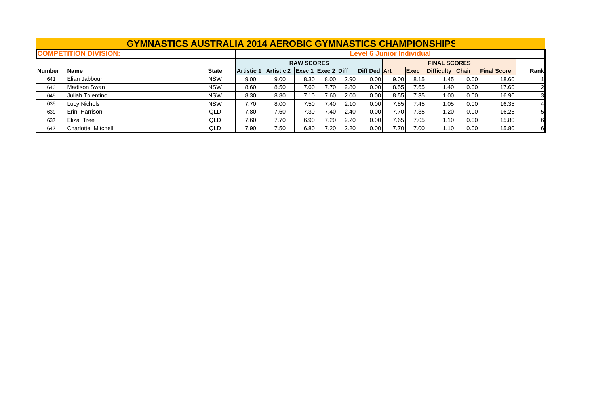|               | <b>GYMNASTICS AUSTRALIA 2014 AEROBIC GYMNASTICS CHAMPIONSHIPS</b> |                                  |                   |                               |      |      |      |                     |      |                     |                  |      |                    |      |
|---------------|-------------------------------------------------------------------|----------------------------------|-------------------|-------------------------------|------|------|------|---------------------|------|---------------------|------------------|------|--------------------|------|
|               | <b>COMPETITION DIVISION:</b>                                      | <b>Level 6 Junior Individual</b> |                   |                               |      |      |      |                     |      |                     |                  |      |                    |      |
|               |                                                                   |                                  |                   | <b>RAW SCORES</b>             |      |      |      |                     |      | <b>FINAL SCORES</b> |                  |      |                    |      |
| <b>Number</b> | <b>Name</b>                                                       | <b>State</b>                     | <b>Artistic 1</b> | Artistic 2 Exec 1 Exec 2 Diff |      |      |      | <b>Diff Ded Art</b> |      | Exec                | Difficulty Chair |      | <b>Final Score</b> | Rank |
| 641           | Elian Jabbour                                                     | <b>NSW</b>                       | 9.00              | 9.00                          | 8.30 | 8.00 | 2.90 | 0.00                | 9.00 | 8.15                | 1.45             | 0.00 | 18.60              |      |
| 643           | Madison Swan                                                      | <b>NSW</b>                       | 8.60              | 8.50                          | 7.60 | 7.70 | 2.80 | 0.00                | 8.55 | 7.65                | 1.40             | 0.00 | 17.60              |      |
| 645           | Juliah Tolentino                                                  | <b>NSW</b>                       | 8.30              | 8.80                          | 7.10 | 7.60 | 2.00 | 0.00                | 8.55 | 7.35                | 1.00             | 0.00 | 16.90              |      |
| 635           | Lucy Nichols                                                      | <b>NSW</b>                       | 7.70              | 8.00                          | 7.50 | 7.40 | 2.10 | 0.00                | 7.85 | 7.45                | 1.05             | 0.00 | 16.35              |      |
| 639           | Erin Harrison                                                     | QLD                              | 7.80              | 7.60                          | 7.30 | 7.40 | 2.40 | 0.00                | 7.70 | 7.35                | 1.20             | 0.00 | 16.25              |      |
| 637           | Eliza Tree                                                        | QLD                              | 7.60              | 7.70                          | 6.90 | 7.20 | 2.20 | 0.00                | 7.65 | 7.05                | 1.10             | 0.00 | 15.80              | 61   |
| 647           | Charlotte Mitchell                                                | QLD                              | 7.90              | 7.50                          | 6.80 | 7.20 | 2.20 | 0.00                | 7.70 | 7.00                | 1.10             | 0.00 | 15.80              | 61   |